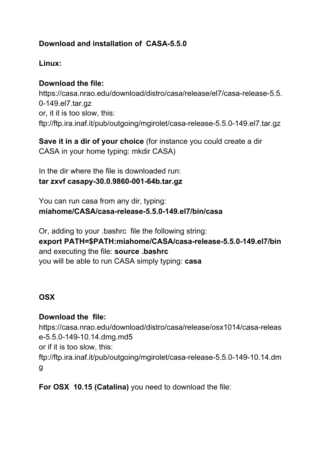### **Download and installation of CASA-5.5.0**

#### **Linux:**

#### **Download the file:**

https://casa.nrao.edu/download/distro/casa/release/el7/casa-release-5.5. 0-149.el7.tar.gz or, it it is too slow, this: ftp://ftp.ira.inaf.it/pub/outgoing/mgirolet/casa-release-5.5.0-149.el7.tar.gz

**Save it in a dir of your choice** (for instance you could create a dir CASA in your home typing: mkdir CASA)

In the dir where the file is downloaded run: **tar zxvf casapy-30.0.9860-001-64b.tar.gz**

You can run casa from any dir, typing: **miahome/CASA/casa-release-5.5.0-149.el7/bin/casa**

Or, adding to your .bashrc file the following string: **export PATH=\$PATH:miahome/CASA/casa-release-5.5.0-149.el7/bin** and executing the file: **source .bashrc** you will be able to run CASA simply typing: **casa**

### **OSX**

### **Download the file:**

[https://casa.nrao.edu/download/distro/casa/release/osx1014/casa-releas](https://casa.nrao.edu/download/distro/casa/release/osx1014/casa-release-5.5.0-149-10.14.dmg.md5) [e-5.5.0-149-10.14.dmg.md5](https://casa.nrao.edu/download/distro/casa/release/osx1014/casa-release-5.5.0-149-10.14.dmg.md5) or if it is too slow, this: ftp:/[/ftp.ira.inaf.it/pub/outgoing/mgirolet/casa-release-5.5.0-149-10.14.dm](http://ftp.ira.inaf.it/pub/outgoing/mgirolet/casa-release-5.5.0-149-10.14.dmg) [g](http://ftp.ira.inaf.it/pub/outgoing/mgirolet/casa-release-5.5.0-149-10.14.dmg)

**For OSX 10.15 (Catalina)** you need to download the file: